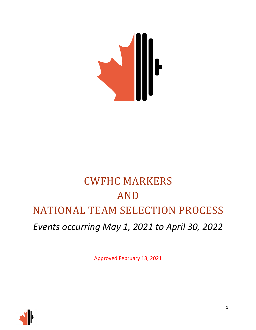

# CWFHC MARKERS AND NATIONAL TEAM SELECTION PROCESS *Events occurring May 1, 2021 to April 30, 2022*

Approved February 13, 2021

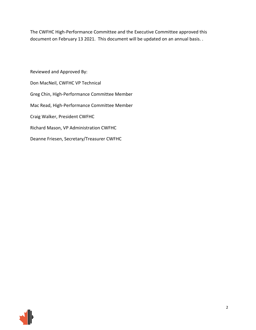The CWFHC High-Performance Committee and the Executive Committee approved this document on February 13 2021. This document will be updated on an annual basis. .

Reviewed and Approved By: Don MacNeil, CWFHC VP Technical Greg Chin, High-Performance Committee Member Mac Read, High-Performance Committee Member Craig Walker, President CWFHC Richard Mason, VP Administration CWFHC Deanne Friesen, Secretary/Treasurer CWFHC

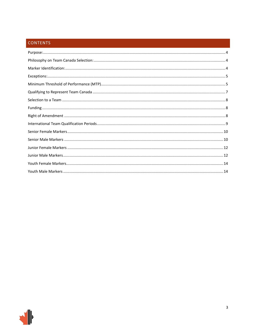## CONTENTS

| $Exceptions: 5$ |  |
|-----------------|--|
|                 |  |
|                 |  |
|                 |  |
|                 |  |
|                 |  |
|                 |  |
|                 |  |
|                 |  |
|                 |  |
|                 |  |
|                 |  |
|                 |  |

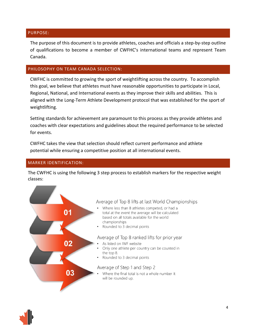### <span id="page-3-0"></span>PURPOSE:

The purpose of this document is to provide athletes, coaches and officials a step-by-step outline of qualifications to become a member of CWFHC's international teams and represent Team Canada.

### <span id="page-3-1"></span>PHILOSOPHY ON TEAM CANADA SELECTION:

CWFHC is committed to growing the sport of weightlifting across the country. To accomplish this goal, we believe that athletes must have reasonable opportunities to participate in Local, Regional, National, and International events as they improve their skills and abilities. This is aligned with the Long-Term Athlete Development protocol that was established for the sport of weightlifting.

Setting standards for achievement are paramount to this process as they provide athletes and coaches with clear expectations and guidelines about the required performance to be selected for events.

CWFHC takes the view that selection should reflect current performance and athlete potential while ensuring a competitive position at all international events.

### <span id="page-3-2"></span>MARKER IDENTIFICATION:

The CWFHC is using the following 3 step process to establish markers for the respective weight classes:



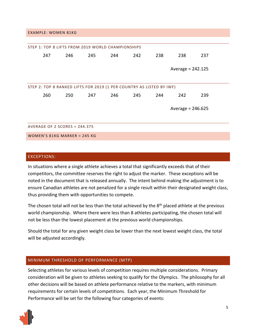#### EXAMPLE: WOMEN 81KG

| STEP 1: TOP 8 LIFTS FROM 2019 WORLD CHAMPIONSHIPS |                                                                      |     |     |     |     |     |                     |     |
|---------------------------------------------------|----------------------------------------------------------------------|-----|-----|-----|-----|-----|---------------------|-----|
|                                                   | 247                                                                  | 246 | 245 | 244 | 242 | 238 | 238                 | 237 |
|                                                   |                                                                      |     |     |     |     |     | Average = $242.125$ |     |
|                                                   | STEP 2: TOP 8 RANKED LIFTS FOR 2019 (1 PER COUNTRY AS LISTED BY IWF) |     |     |     |     |     |                     |     |
|                                                   | 260                                                                  | 250 | 247 | 246 | 245 | 244 | 242                 | 239 |
| Average = $246.625$                               |                                                                      |     |     |     |     |     |                     |     |
|                                                   |                                                                      |     |     |     |     |     |                     |     |
| <b>AVERAGE OF 2 SCORES = 244.375</b>              |                                                                      |     |     |     |     |     |                     |     |
| WOMEN'S 81KG MARKER = 245 KG                      |                                                                      |     |     |     |     |     |                     |     |

#### <span id="page-4-0"></span>EXCEPTIONS:

In situations where a single athlete achieves a total that significantly exceeds that of their competitors, the committee reserves the right to adjust the marker. These exceptions will be noted in the document that is released annually. The intent behind making the adjustment is to ensure Canadian athletes are not penalized for a single result within their designated weight class, thus providing them with opportunities to compete.

The chosen total will not be less than the total achieved by the 8<sup>th</sup> placed athlete at the previous world championship. Where there were less than 8 athletes participating, the chosen total will not be less than the lowest placement at the previous world championships.

Should the total for any given weight class be lower than the next lowest weight class, the total will be adjusted accordingly.

#### <span id="page-4-1"></span>MINIMUM THRESHOLD OF PERFORMANCE (MTP)

Selecting athletes for various levels of competition requires multiple considerations. Primary consideration will be given to athletes seeking to qualify for the Olympics. The philosophy for all other decisions will be based on athlete performance relative to the markers, with minimum requirements for certain levels of competitions. Each year, the Minimum Threshold for Performance will be set for the following four categories of events:

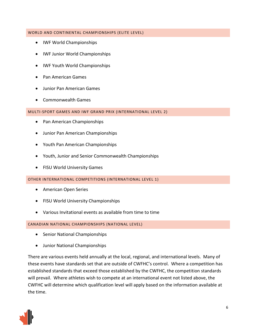### WORLD AND CONTINENTAL CHAMPIONSHIPS (ELITE LEVEL)

- IWF World Championships
- IWF Junior World Championships
- IWF Youth World Championships
- Pan American Games
- Junior Pan American Games
- Commonwealth Games

MULTI-SPORT GAMES AND IWF GRAND PRIX (INTERNATIONAL LEVEL 2)

- Pan American Championships
- Junior Pan American Championships
- Youth Pan American Championships
- Youth, Junior and Senior Commonwealth Championships
- FISU World University Games

OTHER INTERNATIONAL COMPETITIONS (INTERNATIONAL LEVEL 1)

- American Open Series
- FISU World University Championships
- Various Invitational events as available from time to time

CANADIAN NATIONAL CHAMPIONSHIPS (NATIONAL LEVEL)

- Senior National Championships
- Junior National Championships

There are various events held annually at the local, regional, and international levels. Many of these events have standards set that are outside of CWFHC's control. Where a competition has established standards that exceed those established by the CWFHC, the competition standards will prevail. Where athletes wish to compete at an international event not listed above, the CWFHC will determine which qualification level will apply based on the information available at the time.

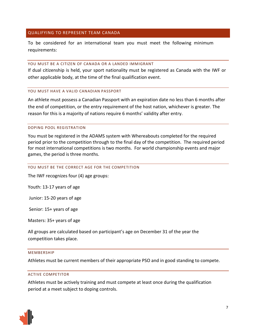### <span id="page-6-0"></span>QUALIFYING TO REPRESENT TEAM CANADA

To be considered for an international team you must meet the following minimum requirements:

#### YOU MUST BE A CITIZEN OF CANADA OR A LANDED IMMIGRANT

If dual citizenship is held, your sport nationality must be registered as Canada with the IWF or other applicable body, at the time of the final qualification event.

#### YOU MUST HAVE A VALID CANADIAN PASSPORT

An athlete must possess a Canadian Passport with an expiration date no less than 6 months after the end of competition, or the entry requirement of the host nation, whichever is greater. The reason for this is a majority of nations require 6 months' validity after entry.

#### DOPING POOL REGISTRATION

You must be registered in the ADAMS system with Whereabouts completed for the required period prior to the competition through to the final day of the competition. The required period for most international competitions is two months. For world championship events and major games, the period is three months.

#### YOU MUST BE THE CORRECT AGE FOR THE COMPETITION

The IWF recognizes four (4) age groups:

Youth: 13-17 years of age

Junior: 15-20 years of age

Senior: 15+ years of age

Masters: 35+ years of age

All groups are calculated based on participant's age on December 31 of the year the competition takes place.

#### MEMBERSHIP

Athletes must be current members of their appropriate PSO and in good standing to compete.

#### ACTIVE COMPETITOR

Athletes must be actively training and must compete at least once during the qualification period at a meet subject to doping controls.

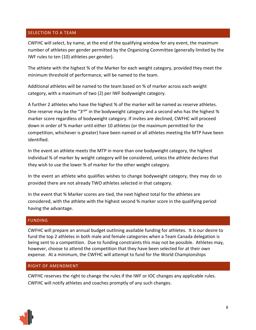## <span id="page-7-0"></span>SELECTION TO A TEAM

CWFHC will select, by name, at the end of the qualifying window for any event, the maximum number of athletes per gender permitted by the Organizing Committee (generally limited by the IWF rules to ten (10) athletes per gender).

The athlete with the highest % of the Marker for each weight category, provided they meet the minimum threshold of performance, will be named to the team.

Additional athletes will be named to the team based on % of marker across each weight category, with a maximum of two (2) per IWF bodyweight category.

A further 2 athletes who have the highest % of the marker will be named as reserve athletes. One reserve may be the "3<sup>rd</sup>" in the bodyweight category and a second who has the highest % marker score regardless of bodyweight category. If invites are declined, CWFHC will proceed down in order of % marker until either 10 athletes (or the maximum permitted for the competition, whichever is greater) have been named or all athletes meeting the MTP have been identified.

In the event an athlete meets the MTP in more than one bodyweight category, the highest individual % of marker by weight category will be considered, unless the athlete declares that they wish to use the lower % of marker for the other weight category.

In the event an athlete who qualifies wishes to change bodyweight category, they may do so provided there are not already TWO athletes selected in that category.

In the event that % Marker scores are tied, the next highest total for the athletes are considered, with the athlete with the highest second % marker score in the qualifying period having the advantage.

## <span id="page-7-1"></span>FUNDING

CWFHC will prepare an annual budget outlining available funding for athletes. It is our desire to fund the top 2 athletes in both male and female categories when a Team Canada delegation is being sent to a competition. Due to funding constraints this may not be possible. Athletes may, however, choose to attend the competition that they have been selected for at their own expense. At a minimum, the CWFHC will attempt to fund for the World Championships

## <span id="page-7-2"></span>RIGHT OF AMENDMENT

CWFHC reserves the right to change the rules if the IWF or IOC changes any applicable rules. CWFHC will notify athletes and coaches promptly of any such changes.

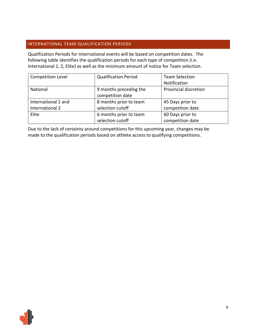### <span id="page-8-0"></span>INTERNATIONAL TEAM QUALIFICATION PERIODS

Qualification Periods for International events will be based on competition dates. The following table identifies the qualification periods for each type of competition (i.e. International 1, 2, Elite) as well as the minimum amount of notice for Team selection.

| Competition Level   | <b>Qualification Period</b> | <b>Team Selection</b> |
|---------------------|-----------------------------|-----------------------|
|                     |                             | Notification          |
| National            | 9 months preceding the      | Provincial discretion |
|                     | competition date            |                       |
| International 1 and | 8 months prior to team      | 45 Days prior to      |
| International 2     | selection cutoff            | competition date      |
| Elite               | 6 months prior to team      | 60 Days prior to      |
|                     | selection cutoff            | competition date      |

Due to the lack of certainty around competitions for this upcoming year, changes may be made to the qualification periods based on athlete access to qualifying competitions.

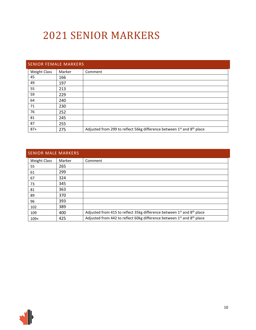## 2021 SENIOR MARKERS

<span id="page-9-0"></span>

| <b>SENIOR FEMALE MARKERS</b> |        |                                                                        |  |  |  |
|------------------------------|--------|------------------------------------------------------------------------|--|--|--|
| <b>Weight Class</b>          | Marker | Comment                                                                |  |  |  |
| 45                           | 166    |                                                                        |  |  |  |
| 49                           | 197    |                                                                        |  |  |  |
| 55                           | 213    |                                                                        |  |  |  |
| 59                           | 229    |                                                                        |  |  |  |
| 64                           | 240    |                                                                        |  |  |  |
| 71                           | 230    |                                                                        |  |  |  |
| 76                           | 252    |                                                                        |  |  |  |
| 81                           | 245    |                                                                        |  |  |  |
| 87                           | 255    |                                                                        |  |  |  |
| $87+$                        | 275    | Adjusted from 299 to reflect 56kg difference between 1st and 8th place |  |  |  |

<span id="page-9-1"></span>

| <b>SENIOR MALE MARKERS</b> |        |                                                                                    |
|----------------------------|--------|------------------------------------------------------------------------------------|
| <b>Weight Class</b>        | Marker | Comment                                                                            |
| 55                         | 265    |                                                                                    |
| 61                         | 299    |                                                                                    |
| 67                         | 324    |                                                                                    |
| 73                         | 345    |                                                                                    |
| 81                         | 363    |                                                                                    |
| 89                         | 370    |                                                                                    |
| 96                         | 393    |                                                                                    |
| 102                        | 389    |                                                                                    |
| 109                        | 400    | Adjusted from 415 to reflect 35kg difference between 1st and 8th place             |
| $109+$                     | 425    | Adjusted from 442 to reflect 60kg difference between 1st and 8 <sup>th</sup> place |



Ī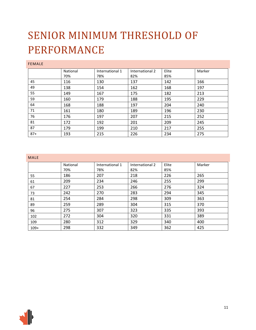## SENIOR MINIMUM THRESHOLD OF PERFORMANCE

### FEMALE

|       | National | International 1 | International 2 | Elite | Marker |
|-------|----------|-----------------|-----------------|-------|--------|
|       | 70%      | 78%             | 82%             | 85%   |        |
| 45    | 116      | 130             | 137             | 142   | 166    |
| 49    | 138      | 154             | 162             | 168   | 197    |
| 55    | 149      | 167             | 175             | 182   | 213    |
| 59    | 160      | 179             | 188             | 195   | 229    |
| 64    | 168      | 188             | 197             | 204   | 240    |
| 71    | 161      | 180             | 189             | 196   | 230    |
| 76    | 176      | 197             | 207             | 215   | 252    |
| 81    | 172      | 192             | 201             | 209   | 245    |
| 87    | 179      | 199             | 210             | 217   | 255    |
| $87+$ | 193      | 215             | 226             | 234   | 275    |

### MALE

| .      |          |                 |                 |       |        |
|--------|----------|-----------------|-----------------|-------|--------|
|        | National | International 1 | International 2 | Elite | Marker |
|        | 70%      | 78%             | 82%             | 85%   |        |
| 55     | 186      | 207             | 218             | 226   | 265    |
| 61     | 209      | 234             | 246             | 255   | 299    |
| 67     | 227      | 253             | 266             | 276   | 324    |
| 73     | 242      | 270             | 283             | 294   | 345    |
| 81     | 254      | 284             | 298             | 309   | 363    |
| 89     | 259      | 289             | 304             | 315   | 370    |
| 96     | 275      | 307             | 323             | 335   | 393    |
| 102    | 272      | 304             | 320             | 331   | 389    |
| 109    | 280      | 312             | 329             | 340   | 400    |
| $109+$ | 298      | 332             | 349             | 362   | 425    |

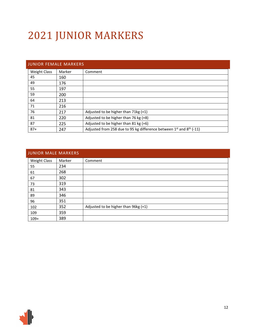# 2021 JUNIOR MARKERS

<span id="page-11-0"></span>

|                     | <b>JUNIOR FEMALE MARKERS</b> |                                                                               |  |  |  |  |
|---------------------|------------------------------|-------------------------------------------------------------------------------|--|--|--|--|
| <b>Weight Class</b> | Marker                       | Comment                                                                       |  |  |  |  |
| 45                  | 160                          |                                                                               |  |  |  |  |
| 49                  | 176                          |                                                                               |  |  |  |  |
| 55                  | 197                          |                                                                               |  |  |  |  |
| 59                  | 200                          |                                                                               |  |  |  |  |
| 64                  | 213                          |                                                                               |  |  |  |  |
| 71                  | 216                          |                                                                               |  |  |  |  |
| 76                  | 217                          | Adjusted to be higher than 71kg (+1)                                          |  |  |  |  |
| 81                  | 220                          | Adjusted to be higher than 76 kg (+8)                                         |  |  |  |  |
| 87                  | 225                          | Adjusted to be higher than 81 kg (+6)                                         |  |  |  |  |
| $87+$               | 247                          | Adjusted from 258 due to 95 kg difference between $1^{st}$ and $8^{th}$ (-11) |  |  |  |  |

<span id="page-11-1"></span>

|                     | <b>JUNIOR MALE MARKERS</b> |                                      |  |  |  |  |
|---------------------|----------------------------|--------------------------------------|--|--|--|--|
| <b>Weight Class</b> | Marker                     | Comment                              |  |  |  |  |
| 55                  | 234                        |                                      |  |  |  |  |
| 61                  | 268                        |                                      |  |  |  |  |
| 67                  | 302                        |                                      |  |  |  |  |
| 73                  | 319                        |                                      |  |  |  |  |
| 81                  | 343                        |                                      |  |  |  |  |
| 89                  | 346                        |                                      |  |  |  |  |
| 96                  | 351                        |                                      |  |  |  |  |
| 102                 | 352                        | Adjusted to be higher than 96kg (+1) |  |  |  |  |
| 109                 | 359                        |                                      |  |  |  |  |
| $109+$              | 389                        |                                      |  |  |  |  |

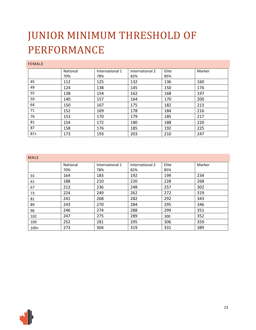## JUNIOR MINIMUM THRESHOLD OF PERFORMANCE

### FEMALE

|       | National | International 1 | International 2 | Elite | Marker |
|-------|----------|-----------------|-----------------|-------|--------|
|       | 70%      | 78%             | 82%             | 85%   |        |
| 45    | 112      | 125             | 132             | 136   | 160    |
| 49    | 124      | 138             | 145             | 150   | 176    |
| 55    | 138      | 154             | 162             | 168   | 197    |
| 59    | 140      | 157             | 164             | 170   | 200    |
| 64    | 150      | 167             | 175             | 182   | 213    |
| 71    | 152      | 169             | 178             | 184   | 216    |
| 76    | 153      | 170             | 179             | 185   | 217    |
| 81    | 154      | 172             | 180             | 188   | 220    |
| 87    | 158      | 176             | 185             | 192   | 225    |
| $87+$ | 173      | 193             | 203             | 210   | 247    |

#### MALE

|        | National | International 1 | International 2 | Elite | Marker |
|--------|----------|-----------------|-----------------|-------|--------|
|        | 70%      | 78%             | 82%             | 85%   |        |
| 55     | 164      | 183             | 192             | 199   | 234    |
| 61     | 188      | 210             | 220             | 228   | 268    |
| 67     | 212      | 236             | 248             | 257   | 302    |
| 73     | 224      | 249             | 262             | 272   | 319    |
| 81     | 241      | 268             | 282             | 292   | 343    |
| 89     | 243      | 270             | 284             | 295   | 346    |
| 96     | 246      | 274             | 288             | 299   | 351    |
| 102    | 247      | 275             | 289             | 300   | 352    |
| 109    | 252      | 281             | 295             | 306   | 359    |
| $109+$ | 273      | 304             | 319             | 331   | 389    |

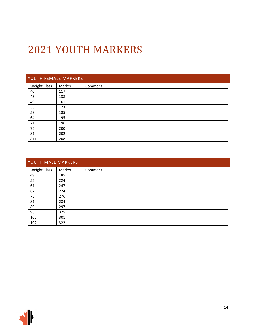## 2021 YOUTH MARKERS

## <span id="page-13-0"></span>YOUTH FEMALE MARKERS

| <b>Weight Class</b> | Marker | Comment |
|---------------------|--------|---------|
| 40                  | 117    |         |
| 45                  | 138    |         |
| 49                  | 161    |         |
| 55                  | 173    |         |
| 59                  | 185    |         |
| 64                  | 195    |         |
| 71                  | 196    |         |
| 76                  | 200    |         |
| 81                  | 202    |         |
| $81+$               | 208    |         |

<span id="page-13-1"></span>

| YOUTH MALE MARKERS  |        |         |  |  |
|---------------------|--------|---------|--|--|
| <b>Weight Class</b> | Marker | Comment |  |  |
| 49                  | 185    |         |  |  |
| 55                  | 224    |         |  |  |
| 61                  | 247    |         |  |  |
| 67                  | 274    |         |  |  |
| 73                  | 276    |         |  |  |
| 81                  | 284    |         |  |  |
| 89                  | 297    |         |  |  |
| 96                  | 325    |         |  |  |
| 102                 | 301    |         |  |  |
| $102+$              | 322    |         |  |  |

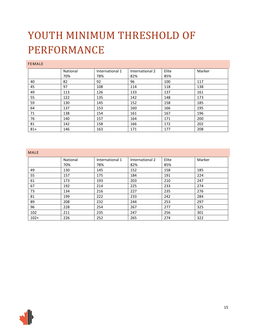## YOUTH MINIMUM THRESHOLD OF PERFORMANCE

### FEMALE

|       | National | International 1 | International 2 | Elite | Marker |
|-------|----------|-----------------|-----------------|-------|--------|
|       | 70%      | 78%             | 82%             | 85%   |        |
| 40    | 82       | 92              | 96              | 100   | 117    |
| 45    | 97       | 108             | 114             | 118   | 138    |
| 49    | 113      | 126             | 133             | 137   | 161    |
| 55    | 122      | 135             | 142             | 148   | 173    |
| 59    | 130      | 145             | 152             | 158   | 185    |
| 64    | 137      | 153             | 160             | 166   | 195    |
| 71    | 138      | 154             | 161             | 167   | 196    |
| 76    | 140      | 157             | 164             | 171   | 200    |
| 81    | 142      | 158             | 166             | 172   | 202    |
| $81+$ | 146      | 163             | 171             | 177   | 208    |

#### MALE

| .      |          |                 |                 |       |        |
|--------|----------|-----------------|-----------------|-------|--------|
|        | National | International 1 | International 2 | Elite | Marker |
|        | 70%      | 78%             | 82%             | 85%   |        |
| 49     | 130      | 145             | 152             | 158   | 185    |
| 55     | 157      | 175             | 184             | 191   | 224    |
| 61     | 173      | 193             | 203             | 210   | 247    |
| 67     | 192      | 214             | 225             | 233   | 274    |
| 73     | 134      | 216             | 227             | 235   | 276    |
| 81     | 199      | 222             | 233             | 242   | 284    |
| 89     | 208      | 232             | 244             | 253   | 297    |
| 96     | 228      | 254             | 267             | 277   | 325    |
| 102    | 211      | 235             | 247             | 256   | 301    |
| $102+$ | 226      | 252             | 265             | 274   | 322    |